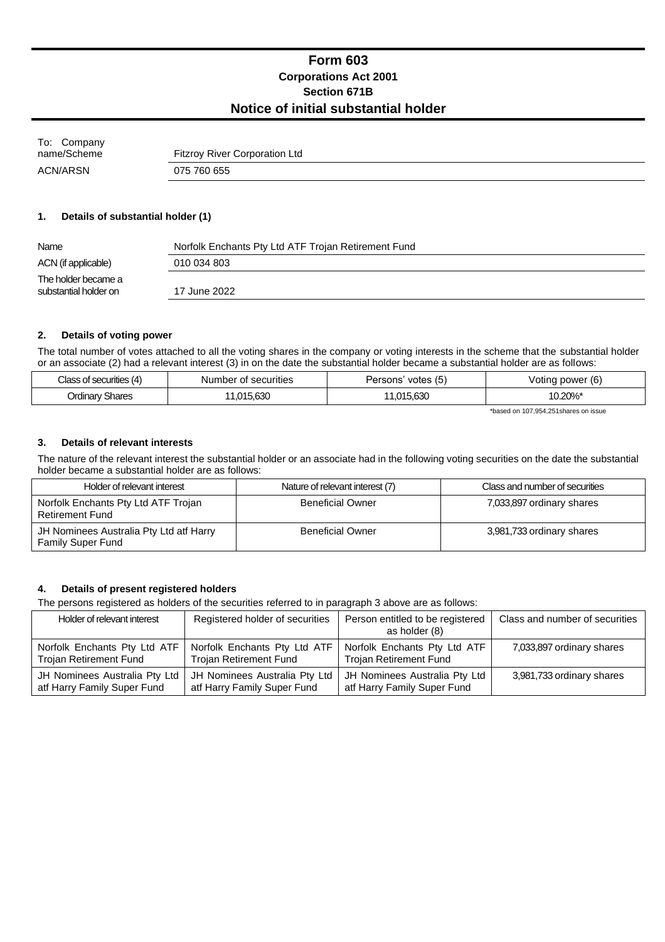## **Form 603 Corporations Act 2001 Section 671B Notice of initial substantial holder**

| To: Company |                                      |
|-------------|--------------------------------------|
| name/Scheme | <b>Fitzroy River Corporation Ltd</b> |
| ACN/ARSN    | 075 760 655                          |

#### **1. Details of substantial holder (1)**

| Name                                         | Norfolk Enchants Pty Ltd ATF Trojan Retirement Fund |
|----------------------------------------------|-----------------------------------------------------|
| ACN (if applicable)                          | 010 034 803                                         |
| The holder became a<br>substantial holder on | 17 June 2022                                        |

#### **2. Details of voting power**

The total number of votes attached to all the voting shares in the company or voting interests in the scheme that the substantial holder or an associate (2) had a relevant interest (3) in on the date the substantial holder became a substantial holder are as follows:

| <b>Place</b><br>cunties  | Number<br>securities<br>OI | $\epsilon$<br>'ersons<br>votes<br>∽ | $\overline{\phantom{a}}$<br>power (6)<br>otinc |
|--------------------------|----------------------------|-------------------------------------|------------------------------------------------|
| Jrdinary'<br>Shares<br>. | . ലൈ<br>714                | .63C<br>ำ1 -<br>,uu                 | 10.20%*                                        |

\*based on 107,954,251shares on issue

#### **3. Details of relevant interests**

The nature of the relevant interest the substantial holder or an associate had in the following voting securities on the date the substantial holder became a substantial holder are as follows:

| Holder of relevant interest                                         | Nature of relevant interest (7) | Class and number of securities |
|---------------------------------------------------------------------|---------------------------------|--------------------------------|
| Norfolk Enchants Pty Ltd ATF Trojan<br>Retirement Fund              | <b>Beneficial Owner</b>         | 7,033,897 ordinary shares      |
| JH Nominees Australia Pty Ltd atf Harry<br><b>Family Super Fund</b> | <b>Beneficial Owner</b>         | 3,981,733 ordinary shares      |

#### **4. Details of present registered holders**

The persons registered as holders of the securities referred to in paragraph 3 above are as follows:

| Holder of relevant interest   | Registered holder of securities | Person entitled to be registered<br>as holder (8) | Class and number of securities |
|-------------------------------|---------------------------------|---------------------------------------------------|--------------------------------|
| Norfolk Enchants Pty Ltd ATF  | Norfolk Enchants Pty Ltd ATF    | Norfolk Enchants Pty Ltd ATF                      | 7,033,897 ordinary shares      |
| <b>Trojan Retirement Fund</b> | <b>Trojan Retirement Fund</b>   | <b>Trojan Retirement Fund</b>                     |                                |
| JH Nominees Australia Pty Ltd | JH Nominees Australia Pty Ltd   | JH Nominees Australia Pty Ltd                     | 3,981,733 ordinary shares      |
| atf Harry Family Super Fund   | atf Harry Family Super Fund     | atf Harry Family Super Fund                       |                                |